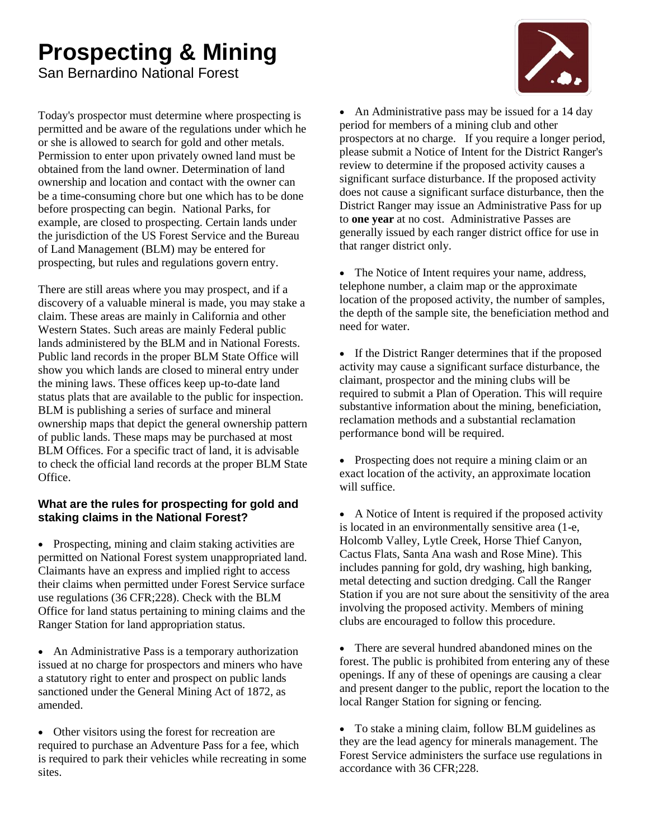# **Prospecting & Mining**

San Bernardino National Forest

Today's prospector must determine where prospecting is permitted and be aware of the regulations under which he or she is allowed to search for gold and other metals. Permission to enter upon privately owned land must be obtained from the land owner. Determination of land ownership and location and contact with the owner can be a time-consuming chore but one which has to be done before prospecting can begin. National Parks, for example, are closed to prospecting. Certain lands under the jurisdiction of the US Forest Service and the Bureau of Land Management (BLM) may be entered for prospecting, but rules and regulations govern entry.

There are still areas where you may prospect, and if a discovery of a valuable mineral is made, you may stake a claim. These areas are mainly in California and other Western States. Such areas are mainly Federal public lands administered by the BLM and in National Forests. Public land records in the proper BLM State Office will show you which lands are closed to mineral entry under the mining laws. These offices keep up-to-date land status plats that are available to the public for inspection. BLM is publishing a series of surface and mineral ownership maps that depict the general ownership pattern of public lands. These maps may be purchased at most BLM Offices. For a specific tract of land, it is advisable to check the official land records at the proper BLM State Office.

# **What are the rules for prospecting for gold and staking claims in the National Forest?**

• Prospecting, mining and claim staking activities are permitted on National Forest system unappropriated land. Claimants have an express and implied right to access their claims when permitted under Forest Service surface use regulations (36 CFR;228). Check with the [BLM](http://www.blm.gov/ca/st/en/prog/minerals.html) [Office](http://www.blm.gov/ca/st/en/prog/minerals.html) for land status pertaining to mining claims and the Ranger Station for land appropriation status.

• An Administrative Pass is a temporary authorization issued at no charge for prospectors and miners who have a statutory right to enter and prospect on public lands sanctioned under the General Mining Act of 1872, as amended.

• Other visitors using the forest for recreation are required to purchase a[n Adventure Pass](http://www.fs.fed.us/r5/sanbernardino/ap) for a fee, which is required to park their vehicles while recreating in some sites.

• An Administrative pass may be issued for a 14 day period for members of a mining club and other prospectors at no charge. If you require a longer period, please submit a Notice of Intent for the District Ranger's review to determine if the proposed activity causes a significant surface disturbance. If the proposed activity does not cause a significant surface disturbance, then the District Ranger may issue an Administrative Pass for up to **one year** at no cost. Administrative Passes are generally issued by each ranger district office for use in that ranger district only.

• The Notice of Intent requires your name, address, telephone number, a claim map or the approximate location of the proposed activity, the number of samples, the depth of the sample site, the beneficiation method and need for water.

• If the District Ranger determines that if the proposed activity may cause a significant surface disturbance, the claimant, prospector and the mining clubs will be required to submit a Plan of Operation. This will require substantive information about the mining, beneficiation, reclamation methods and a substantial reclamation performance bond will be required.

• Prospecting does not require a mining claim or an exact location of the activity, an approximate location will suffice.

 A Notice of Intent is required if the proposed activity is located in an environmentally sensitive area (1-e, Holcomb Valley, Lytle Creek, Horse Thief Canyon, Cactus Flats, Santa Ana wash and Rose Mine). This includes panning for gold, dry washing, high banking, metal detecting and suction dredging. Call th[e Ranger](http://www.fs.fed.us/r5/sanbernardino/contact/index.shtml)  [Station](http://www.fs.fed.us/r5/sanbernardino/contact/index.shtml) if you are not sure about the sensitivity of the area involving the proposed activity. Members of mining clubs are encouraged to follow this procedure.

• There are several hundred abandoned mines on the forest. The public is prohibited from entering any of these openings. If any of these of openings are causing a clear and present danger to the public, report the location to the local [Ranger Station](http://www.fs.fed.us/r5/sanbernardino/contact/index.shtml) for signing or fencing.

 To stake a mining claim, follow [BLM](http://www.blm.gov/ca/st/en/prog/minerals.html) guidelines as they are the lead agency for minerals management. The Forest Service administers the surface use regulations in accordance with 36 CFR;228.